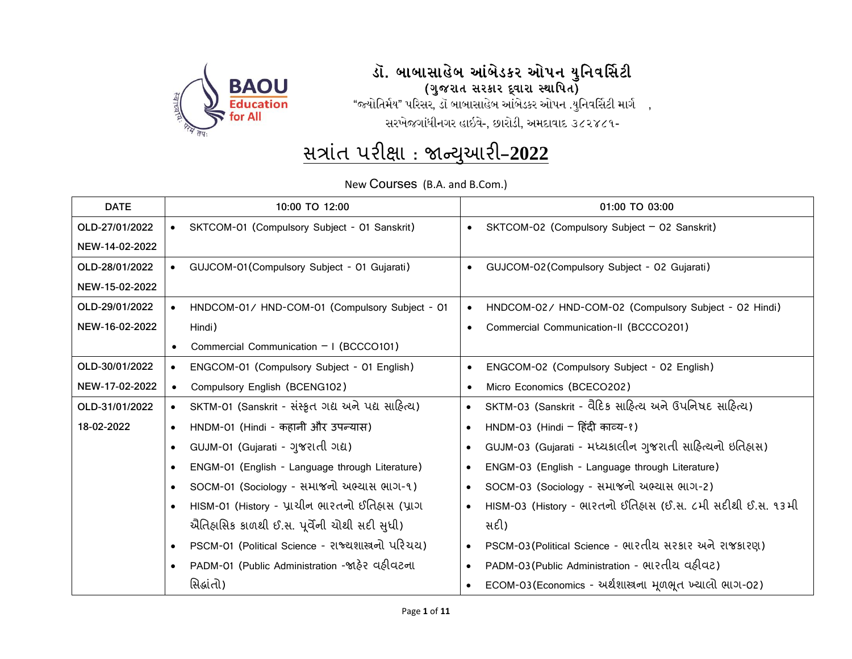

#### .<br>ડૉ. બાબાસાહેબ આંબેડકર ઓપન યુનિવર્સિટી (ગુજરાત સરકાર દ્વારા સ્થાપિત)

"જ્યોતિર્મય" પરિસર, ડૉ બાબાસાહેબ આંબેડકર ઓપન .યુનિવર્સિટી માર્ગ , સરખેજગાંધીનગર હાઇવે-, છારોડી, અમદાવાદ ૩૮૨૪૮૧-

# <u>સત્રાંત પરીક્ષા : જાન્યુઆરી–2022</u>

New Courses (B.A. and B.Com.)

| <b>DATE</b>    |           | 10:00 TO 12:00                                     |           | 01:00 TO 03:00                                             |
|----------------|-----------|----------------------------------------------------|-----------|------------------------------------------------------------|
| OLD-27/01/2022 | $\bullet$ | SKTCOM-01 (Compulsory Subject - 01 Sanskrit)       |           | SKTCOM-02 (Compulsory Subject - 02 Sanskrit)               |
| NEW-14-02-2022 |           |                                                    |           |                                                            |
| OLD-28/01/2022 | $\bullet$ | GUJCOM-01 (Compulsory Subject - 01 Gujarati)       | $\bullet$ | GUJCOM-02 (Compulsory Subject - 02 Gujarati)               |
| NEW-15-02-2022 |           |                                                    |           |                                                            |
| OLD-29/01/2022 |           | HNDCOM-01/ HND-COM-01 (Compulsory Subject - 01     |           | HNDCOM-02/ HND-COM-02 (Compulsory Subject - 02 Hindi)      |
| NEW-16-02-2022 |           | Hindi)                                             |           | Commercial Communication-II (BCCCO201)                     |
|                |           | Commercial Communication $-1$ (BCCCO101)           |           |                                                            |
| OLD-30/01/2022 | $\bullet$ | ENGCOM-01 (Compulsory Subject - 01 English)        |           | ENGCOM-02 (Compulsory Subject - 02 English)                |
| NEW-17-02-2022 | $\bullet$ | Compulsory English (BCENG102)                      |           | Micro Economics (BCECO202)                                 |
| OLD-31/01/2022 | $\bullet$ | SKTM-01 (Sanskrit - સંસ્કૃત ગદ્ય અને પદ્ય સાહિત્ય) |           | SKTM-03 (Sanskrit - વૈદિક સાહિત્ય અને ઉપનિષદ સાહિત્ય)      |
| 18-02-2022     |           | HNDM-01 (Hindi - कहानी और उपन्यास)                 |           | HNDM-03 (Hindi - हिंदी काव्य-१)                            |
|                |           | GUJM-01 (Gujarati - ગુજરાતી ગદ્ય)                  |           | GUJM-03 (Gujarati - મધ્યકાલીન ગુજરાતી સાહિત્યનો ઇતિહાસ)    |
|                |           | ENGM-01 (English - Language through Literature)    |           | ENGM-03 (English - Language through Literature)            |
|                |           | SOCM-01 (Sociology - સમાજનો અભ્યાસ ભાગ-૧)          |           | SOCM-03 (Sociology - સમાજનો અભ્યાસ ભાગ-2)                  |
|                |           | HISM-01 (History - પ્રાચીન ભારતનો ઈતિહ્રાસ (પ્રાગ  | $\bullet$ | HISM-03 (History - ભારતનો ઈતિહાસ (ઈ.સ. ૮મી સદીથી ઈ.સ. ૧૩મી |
|                |           | ઐતિહ્યસિક કાળથી ઈ.સ. પૂર્વેની ચોથી સદી સુધી)       |           | સદી)                                                       |
|                |           | PSCM-01 (Political Science - રાજ્યશાસ્ત્રનો પરિચય) |           | PSCM-03 (Political Science - ભારતીય સરકાર અને રાજકારણ)     |
|                |           | PADM-01 (Public Administration -જાહેર વહીવટના      | $\bullet$ | PADM-03 (Public Administration - ભારતીય વહીવટ)             |
|                |           | સિદ્ધાંતો)                                         |           | ECOM-03 (Economics - અર્થશાસ્ત્રના મૂળભૂત ખ્યાલો ભાગ-02)   |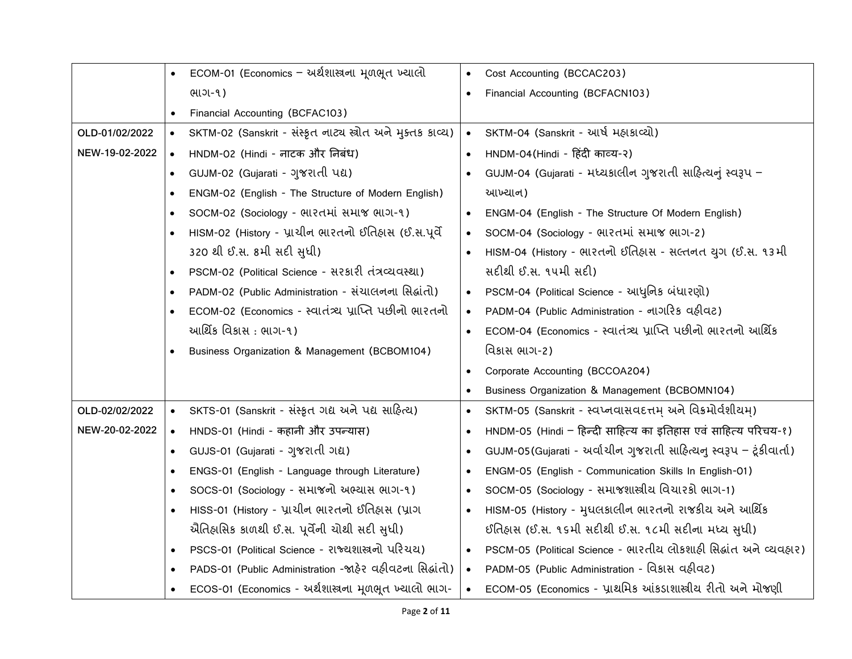|                |           | ECOM-01 (Economics - અર્થશાસ્ત્રના મૂળભૂત ખ્યાલો            |           | Cost Accounting (BCCAC203)                                          |
|----------------|-----------|-------------------------------------------------------------|-----------|---------------------------------------------------------------------|
|                |           | ભાગ-૧)                                                      |           | Financial Accounting (BCFACN103)                                    |
|                |           | Financial Accounting (BCFAC103)                             |           |                                                                     |
| OLD-01/02/2022 | $\bullet$ | SKTM-02 (Sanskrit - संस्कृत नाट्य स्त्रोत अने मुझ्तड डाव्य) | $\bullet$ | SKTM-04 (Sanskrit - આર્ષ મહાકાવ્યો)                                 |
| NEW-19-02-2022 | $\bullet$ | HNDM-02 (Hindi - नाटक और निबंध)                             |           | HNDM-04(Hindi - हिंदी काव्य-२)                                      |
|                | $\bullet$ | GUJM-02 (Gujarati - ગુજરાતી પદ્ય)                           |           | GUJM-04 (Gujarati - મધ્યકાલીન ગુજરાતી સાહિત્યનું સ્વરૂપ –           |
|                |           | ENGM-02 (English - The Structure of Modern English)         |           | આખ્યાન)                                                             |
|                |           | SOCM-02 (Sociology - सारतमां समाજ ભાગ-१)                    |           | ENGM-04 (English - The Structure Of Modern English)                 |
|                |           | HISM-02 (History - પ્રાચીન ભારતનો ઈતિહાસ (ઈ.સ.પૂર્વે        |           | SOCM-04 (Sociology - ભારતમાં સમાજ ભાગ-2)                            |
|                |           | 320 થી ઈ.સ. 8મી સદી સુધી)                                   |           | HISM-04 (History - ભારતનો ઈતિહ્વસ - સલ્તનત યુગ (ઈ.સ. ૧૩મી           |
|                |           | PSCM-02 (Political Science - सर अरी तंत्रव्यवस्था)          |           | સદીથી ઈ.સ. ૧૫મી સદી)                                                |
|                |           | PADM-02 (Public Administration - સંચાલનના સિદ્ધાંતો)        |           | PSCM-04 (Political Science - આધુનિક બંધારણો)                        |
|                |           | ECOM-02 (Economics - સ્વાતંત્ર્ય પ્રાપ્તિ પછીનો ભારતનો      |           | PADM-04 (Public Administration - નાગરિક વહીવટ)                      |
|                |           | આર્થિક વિકાસ : ભાગ-૧)                                       |           | ECOM-04 (Economics - સ્વાતંત્ર્ય પ્રાપ્તિ પછીનો ભારતનો આર્થિક       |
|                |           | Business Organization & Management (BCBOM104)               |           | વિકાસ ભાગ-2)                                                        |
|                |           |                                                             |           | Corporate Accounting (BCCOA204)                                     |
|                |           |                                                             |           | Business Organization & Management (BCBOMN104)                      |
| OLD-02/02/2022 | $\bullet$ | SKTS-01 (Sanskrit - संस्कृत गद्य अने पद्य साहित्य)          | $\bullet$ | SKTM-05 (Sanskrit - સ્વપ્નવાસવદત્તમ્ અને વિક્રમોર્વશીયમ્)           |
| NEW-20-02-2022 | $\bullet$ | HNDS-01 (Hindi - कहानी और उपन्यास)                          |           | HNDM-05 (Hindi - हिन्दी साहित्य का इतिहास एवं साहित्य परिचय-१)      |
|                | $\bullet$ | GUJS-01 (Gujarati - ગુજરાતી ગદ્ય)                           |           | GUJM-05(Gujarati - અર્વાચીન ગુજરાતી સાહિત્યનુ સ્વરૂપ – ટૂંકીવાર્તા) |
|                |           | ENGS-01 (English - Language through Literature)             |           | ENGM-05 (English - Communication Skills In English-01)              |
|                |           | SOCS-01 (Sociology - સમાજનો અભ્યાસ ભાગ-૧)                   |           | SOCM-05 (Sociology - સમાજશાસ્ત્રીય વિચારકો ભાગ-1)                   |
|                | $\bullet$ | HISS-01 (History - પ્રાચીન ભારતનો ઈતિહાસ (પ્રાગ             | $\bullet$ | HISM-05 (History - મુધલકાલીન ભારતનો રાજકીય અને આર્થિક               |
|                |           | ઐતિહ્વસિક કાળથી ઈ.સ. પૂર્વેની ચોથી સદી સુધી)                |           | ઈતિહ્વસ (ઈ.સ. ૧૬મી સદીથી ઈ.સ. ૧૮મી સદીના મધ્ય સુધી)                 |
|                | $\bullet$ | PSCS-01 (Political Science - રાજ્યશાસ્ત્રનો પરિચય)          |           | PSCM-05 (Political Science - ભારતીય લોકશાહી સિદ્ધાંત અને વ્યવહાર)   |
|                |           | PADS-01 (Public Administration -જાહેર વહીવટના સિદ્ધાંતો)    | $\bullet$ | PADM-05 (Public Administration - વિકાસ વહીવટ)                       |
|                |           | ECOS-01 (Economics - અર્થશાસ્ત્રના મૂળભૂત ખ્યાલો ભાગ-       | $\bullet$ | ECOM-05 (Economics - પ્રાથમિક આંકડાશાસ્ત્રીય રીતો અને મોજણી         |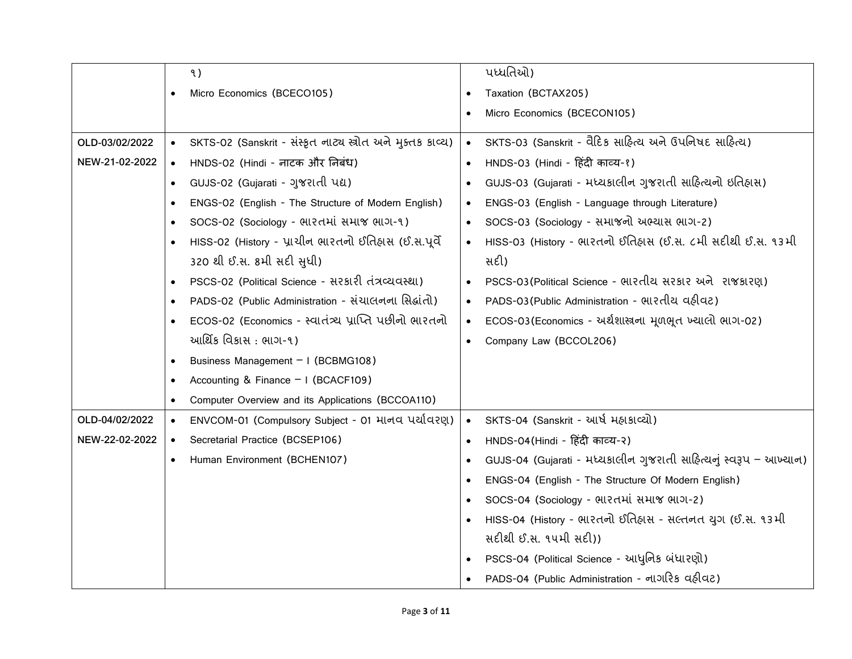|                |           | ৭)                                                          |           | ૫ધ્ધતિઓ)                                                          |
|----------------|-----------|-------------------------------------------------------------|-----------|-------------------------------------------------------------------|
|                | $\bullet$ | Micro Economics (BCECO105)                                  |           | Taxation (BCTAX205)                                               |
|                |           |                                                             |           | Micro Economics (BCECON105)                                       |
| OLD-03/02/2022 | $\bullet$ | SKTS-02 (Sanskrit - સંસ્કૃત નાટ્ય સ્ત્રોત અને મુક્તક કાવ્ય) | $\bullet$ | SKTS-03 (Sanskrit - વૈદિક સાહિત્ય અને ઉપનિષદ સાહિત્ય)             |
| NEW-21-02-2022 | $\bullet$ | HNDS-02 (Hindi - नाटक और निबंध)                             |           | HNDS-03 (Hindi - हिंदी काव्य-१)                                   |
|                | $\bullet$ | GUJS-02 (Gujarati - ગુજરાતી પદ્ય)                           |           | GUJS-03 (Gujarati - મધ્યકાલીન ગુજરાતી સાહિત્યનો ઇતિહાસ)           |
|                | $\bullet$ | ENGS-02 (English - The Structure of Modern English)         |           | ENGS-03 (English - Language through Literature)                   |
|                | $\bullet$ | SOCS-02 (Sociology - सारतमां समाજ लाग-१)                    |           | SOCS-03 (Sociology - સમાજનો અભ્યાસ ભાગ-2)                         |
|                |           | HISS-02 (History - પ્રાચીન ભારતનો ઈતિહાસ (ઈ.સ.પૂર્વે        |           | HISS-03 (History - ભારતનો ઈતિહાસ (ઈ.સ. ૮મી સદીથી ઈ.સ. ૧૩મી        |
|                |           | 320 થી ઈ.સ. 8મી સદી સુધી)                                   |           | સદી)                                                              |
|                | $\bullet$ | PSCS-02 (Political Science - सरधारी तंत्रव्यवस्था)          |           | PSCS-03 (Political Science - ભારતીય સરકાર અને રાજકારણ)            |
|                | $\bullet$ | PADS-02 (Public Administration - સંચાલનના સિદ્ધાંતો)        |           | PADS-03 (Public Administration - ભારતીય વઠીવટ)                    |
|                | $\bullet$ | ECOS-02 (Economics - સ્વાતંત્ર્ય પ્રાપ્તિ પછીનો ભારતનો      |           | ECOS-03 (Economics - અર્થશાસ્ત્રના મૂળભૂત ખ્યાલો ભાગ-02)          |
|                |           | આર્થિક વિકાસ : ભાગ-૧)                                       |           | Company Law (BCCOL206)                                            |
|                | $\bullet$ | Business Management - I (BCBMG108)                          |           |                                                                   |
|                | $\bullet$ | Accounting & Finance - I (BCACF109)                         |           |                                                                   |
|                | $\bullet$ | Computer Overview and its Applications (BCCOA110)           |           |                                                                   |
| OLD-04/02/2022 | $\bullet$ | ENVCOM-01 (Compulsory Subject - 01 માનવ પર્યાવરણ)           |           | SKTS-04 (Sanskrit - આર્ષ મહાકાવ્યો)                               |
| NEW-22-02-2022 | $\bullet$ | Secretarial Practice (BCSEP106)                             |           | HNDS-04 (Hindi - हिंदी काव्य-२)                                   |
|                | $\bullet$ | Human Environment (BCHEN107)                                |           | GUJS-04 (Gujarati - મધ્યકાલીન ગુજરાતી સાહિત્યનું સ્વરૂપ – આખ્યાન) |
|                |           |                                                             |           | ENGS-04 (English - The Structure Of Modern English)               |
|                |           |                                                             |           | SOCS-04 (Sociology - ભારતમાં સમાજ ભાગ-2)                          |
|                |           |                                                             |           | HISS-04 (History - ભારતનો ઈતિહાસ - સલ્તનત યુગ (ઈ.સ. ૧૩મી          |
|                |           |                                                             |           | સદીથી ઈ.સ. ૧૫મી સદી))                                             |
|                |           |                                                             |           | PSCS-04 (Political Science - આધુનિક બંધારણો)                      |
|                |           |                                                             |           | PADS-04 (Public Administration - નાગરિક વહીવટ)                    |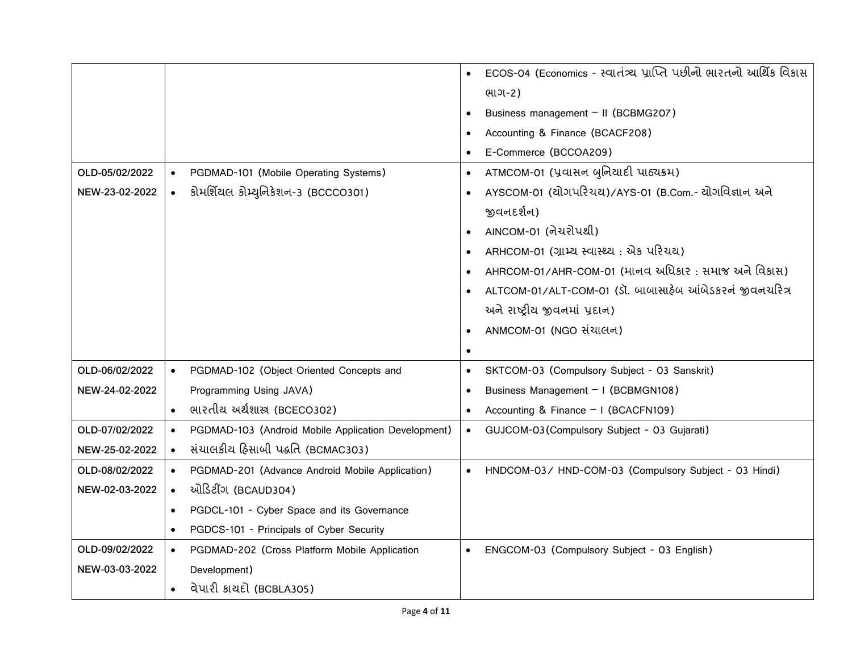|                |           |                                                     |           | ECOS-04 (Economics - स्વાતંત્ર્ય પ્રાપ્તિ પછીનો ભારતનો આર્થિક વિકાસ |
|----------------|-----------|-----------------------------------------------------|-----------|---------------------------------------------------------------------|
|                |           |                                                     |           | ભાગ-2)                                                              |
|                |           |                                                     |           | Business management - II (BCBMG207)                                 |
|                |           |                                                     |           | Accounting & Finance (BCACF208)                                     |
|                |           |                                                     |           | E-Commerce (BCCOA209)                                               |
| OLD-05/02/2022 | $\bullet$ | PGDMAD-101 (Mobile Operating Systems)               | $\bullet$ | ATMCOM-01 (પ્રવાસન બુનિયાદી પાઠ્યક્રમ)                              |
| NEW-23-02-2022 | $\bullet$ | કોમર્શિયલ કોમ્યુનિકેશન-3 (BCCCO301)                 |           | AYSCOM-01 (ચોગપરિચય)/AYS-01 (B.Com.- ચોગવિજ્ઞાન અને                 |
|                |           |                                                     |           | જીવનદર્શન)                                                          |
|                |           |                                                     |           | AINCOM-01 (નેચરોપથી)                                                |
|                |           |                                                     |           | ARHCOM-01 (ગ્રામ્ય સ્વાસ્થ્ય: એક પરિચય)                             |
|                |           |                                                     |           | AHRCOM-01/AHR-COM-01 (માનવ અધિકાર: સમાજ અને વિકાસ)                  |
|                |           |                                                     |           | ALTCOM-01/ALT-COM-01 (ડૉ. બાબાસાફેબ આંબેડકરનં જીવનચરિત્ર            |
|                |           |                                                     |           | અને રાષ્ટ્રીય જીવનમાં પ્રદાન)                                       |
|                |           |                                                     |           | ANMCOM-01 (NGO संयालन)                                              |
|                |           |                                                     | $\bullet$ |                                                                     |
| OLD-06/02/2022 | $\bullet$ | PGDMAD-102 (Object Oriented Concepts and            |           | SKTCOM-03 (Compulsory Subject - 03 Sanskrit)                        |
| NEW-24-02-2022 |           | Programming Using JAVA)                             |           | Business Management - I (BCBMGN108)                                 |
|                | $\bullet$ | ભારતીય અર્થશાસ્ત્ર (BCECO302)                       |           | Accounting & Finance - I (BCACFN109)                                |
| OLD-07/02/2022 | $\bullet$ | PGDMAD-103 (Android Mobile Application Development) | $\bullet$ | GUJCOM-03 (Compulsory Subject - 03 Gujarati)                        |
| NEW-25-02-2022 | $\bullet$ | સંચાલકીય હિસાબી પદ્ધતિ (BCMAC303)                   |           |                                                                     |
| OLD-08/02/2022 | $\bullet$ | PGDMAD-201 (Advance Android Mobile Application)     |           | HNDCOM-03/ HND-COM-03 (Compulsory Subject - 03 Hindi)               |
| NEW-02-03-2022 | $\bullet$ | ઓડિટીંગ (BCAUD304)                                  |           |                                                                     |
|                | $\bullet$ | PGDCL-101 - Cyber Space and its Governance          |           |                                                                     |
|                | $\bullet$ | PGDCS-101 - Principals of Cyber Security            |           |                                                                     |
| OLD-09/02/2022 | $\bullet$ | PGDMAD-202 (Cross Platform Mobile Application       |           | ENGCOM-03 (Compulsory Subject - 03 English)                         |
| NEW-03-03-2022 |           | Development)                                        |           |                                                                     |
|                | $\bullet$ | વેપારી કાયદો (BCBLA305)                             |           |                                                                     |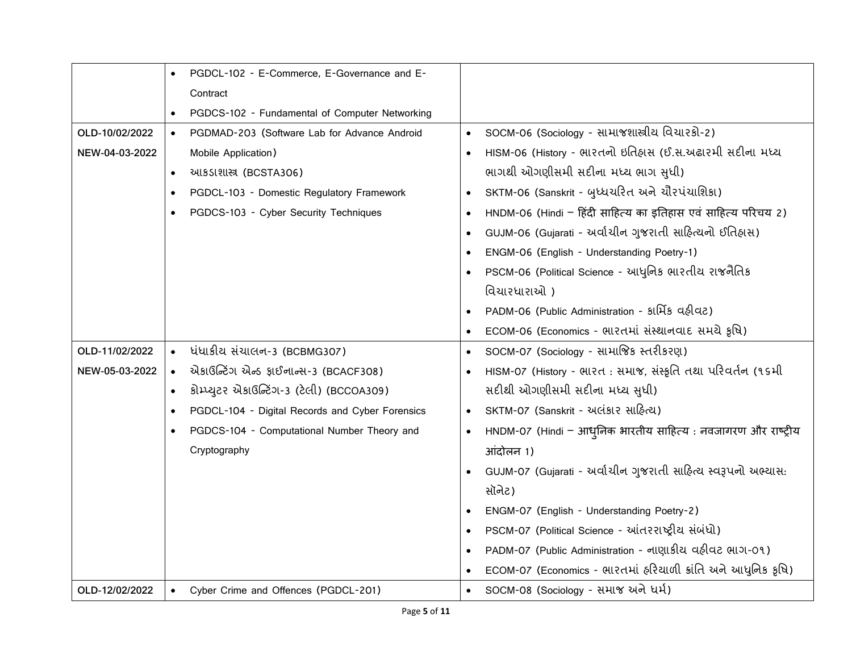|                |           | PGDCL-102 - E-Commerce, E-Governance and E-     |           |                                                               |
|----------------|-----------|-------------------------------------------------|-----------|---------------------------------------------------------------|
|                |           | Contract                                        |           |                                                               |
|                |           | PGDCS-102 - Fundamental of Computer Networking  |           |                                                               |
| OLD-10/02/2022 | $\bullet$ | PGDMAD-203 (Software Lab for Advance Android    |           | SOCM-06 (Sociology - સામાજશાસ્ત્રીય વિચારકો-2)                |
| NEW-04-03-2022 |           | Mobile Application)                             |           | HISM-06 (History - ભારતનો ઇતિહાસ (ઈ.સ.અઢારમી સદીના મધ્ય       |
|                | $\bullet$ | આકડાશાસ્ત્ર (BCSTA306)                          |           | ભાગથી ઓગણીસમી સદીના મધ્ય ભાગ સુધી)                            |
|                | $\bullet$ | PGDCL-103 - Domestic Regulatory Framework       |           | SKTM-06 (Sanskrit - બુધ્ધચરિત અને ચૌરપંચાશિકા)                |
|                |           | PGDCS-103 - Cyber Security Techniques           |           | HNDM-06 (Hindi - हिंदी साहित्य का इतिहास एवं साहित्य परिचय 2) |
|                |           |                                                 |           | GUJM-06 (Gujarati - અર્વાચીન ગુજરાતી સાહિત્યનો ઈતિહાસ)        |
|                |           |                                                 |           | ENGM-06 (English - Understanding Poetry-1)                    |
|                |           |                                                 |           | PSCM-06 (Political Science - આધુનિક ભારતીય રાજનૈતિક           |
|                |           |                                                 |           | વિચારધારાઓ)                                                   |
|                |           |                                                 |           | PADM-06 (Public Administration - slHs aslac)                  |
|                |           |                                                 |           | ECOM-06 (Economics - ભારતમાં સંસ્થાનવાદ સમયે કૃષિ)            |
| OLD-11/02/2022 | $\bullet$ | ધંધાકીય સંચાલન-3 (BCBMG307)                     | $\bullet$ | SOCM-07 (Sociology - સામાજિક સ્તરીકરણ)                        |
| NEW-05-03-2022 | $\bullet$ | એકાઉન્ટિંગ એન્ડ ફાઈનાન્સ-3 (BCACF308)           |           | HISM-07 (History - ભારત : સમાજ, સંસ્કૃતિ તથા પરિવર્તન (૧૬મી   |
|                | $\bullet$ | કોમ્પ્યુટર એકાઉન્ટિંગ-3 (ટેલી) (BCCOA309)       |           | સદીથી ઓગણીસમી સદીના મધ્ય સુધી)                                |
|                | $\bullet$ | PGDCL-104 - Digital Records and Cyber Forensics | $\bullet$ | SKTM-07 (Sanskrit - અલંકાર સાહિત્ય)                           |
|                | $\bullet$ | PGDCS-104 - Computational Number Theory and     |           | HNDM-07 (Hindi - आधुनिक भारतीय साहित्य: नवजागरण और राष्ट्रीय  |
|                |           | Cryptography                                    |           | आंदोलन 1)                                                     |
|                |           |                                                 |           | GUJM-07 (Gujarati - અર્વાચીન ગુજરાતી સાહિત્ય સ્વરૂપનો અભ્યાસ: |
|                |           |                                                 |           | સૉનેટ)                                                        |
|                |           |                                                 |           | ENGM-07 (English - Understanding Poetry-2)                    |
|                |           |                                                 |           | PSCM-07 (Political Science - આંતરરાષ્ટ્રીય સંબંધો)            |
|                |           |                                                 |           | PADM-07 (Public Administration - નાણાકીય વહીવટ ભાગ-09)        |
|                |           |                                                 |           | ECOM-07 (Economics - ભારતમાં હરિયાળી ક્રાંતિ અને આધુનિક કૃષિ) |
| OLD-12/02/2022 |           | Cyber Crime and Offences (PGDCL-201)            |           | SOCM-08 (Sociology - સમાજ અને ધર્મ)                           |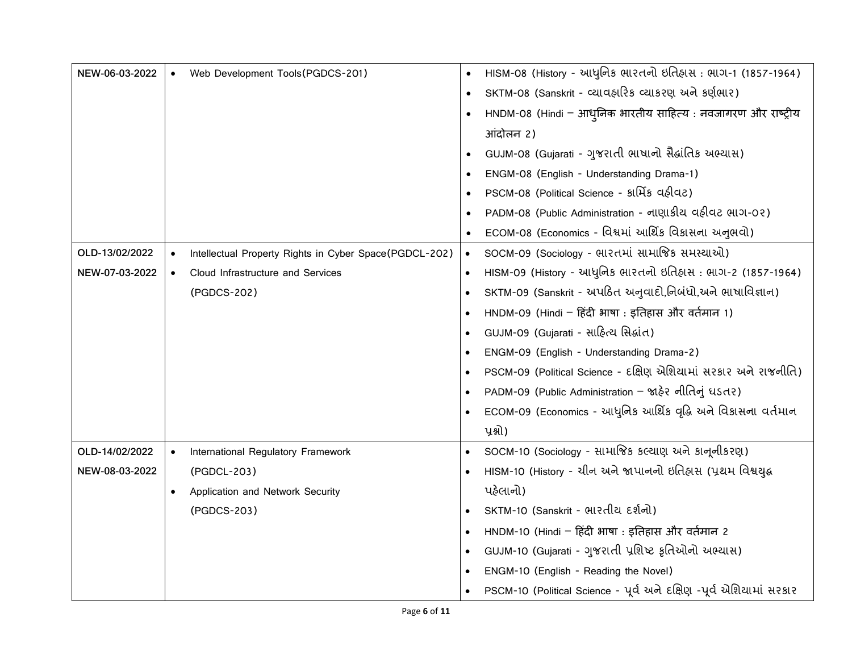| NEW-06-03-2022 |           | Web Development Tools(PGDCS-201)                       |           | HISM-08 (History - આધુનિક ભારતનો ઇતિહાસ: ભાગ-1 (1857-1964)          |
|----------------|-----------|--------------------------------------------------------|-----------|---------------------------------------------------------------------|
|                |           |                                                        |           | SKTM-08 (Sanskrit - cયાવહારિક cયાકરણ અને કર્ણભાર)                   |
|                |           |                                                        |           | HNDM-08 (Hindi - आधुनिक भारतीय साहित्य : नवजागरण और राष्ट्रीय       |
|                |           |                                                        |           | आंदोलन 2)                                                           |
|                |           |                                                        |           | GUJM-08 (Gujarati - ગુજરાતી ભાષાનો સૈહ્રાંતિક અભ્યાસ)               |
|                |           |                                                        |           | ENGM-08 (English - Understanding Drama-1)                           |
|                |           |                                                        |           | PSCM-08 (Political Science - अर्मिड वहीवट)                          |
|                |           |                                                        |           | PADM-08 (Public Administration - नाए। डीय वहीवट साग-0२)             |
|                |           |                                                        |           | ECOM-08 (Economics - વિશ્વમાં આર્થિક વિકાસના અનુભવો)                |
| OLD-13/02/2022 | $\bullet$ | Intellectual Property Rights in Cyber Space(PGDCL-202) | $\bullet$ | SOCM-09 (Sociology - ભારતમાં સામાજિક સમસ્યાઓ)                       |
| NEW-07-03-2022 | $\bullet$ | Cloud Infrastructure and Services                      |           | HISM-09 (History - આધુનિક ભારતનો ઇતિહાસ : ભાગ-2 (1857-1964)         |
|                |           | (PGDCS-202)                                            |           | SKTM-09 (Sanskrit - અપઠિત અનુવાદો,નિબંધો,અને ભાષાવિજ્ઞાન)           |
|                |           |                                                        |           | HNDM-09 (Hindi - हिंदी भाषा : इतिहास और वर्तमान 1)                  |
|                |           |                                                        |           | GUJM-09 (Gujarati - સાહિત્ય સિદ્ધાંત)                               |
|                |           |                                                        |           | ENGM-09 (English - Understanding Drama-2)                           |
|                |           |                                                        |           | PSCM-09 (Political Science - દક્ષિણ એશિયામાં સરકાર અને રાજનીતિ)     |
|                |           |                                                        |           | PADM-09 (Public Administration - જાહેર નીતિનું ધડતર)                |
|                |           |                                                        |           | ECOM-09 (Economics - આધુનિક આર્થિક વૃદ્ધિ અને વિકાસના વર્તમાન       |
|                |           |                                                        |           | પ્રશ્નો)                                                            |
| OLD-14/02/2022 | $\bullet$ | International Regulatory Framework                     |           | SOCM-10 (Sociology - સામાજિક કલ્યાણ અને કાનૂનીકરણ)                  |
| NEW-08-03-2022 |           | (PGDCL-203)                                            |           | HISM-10 (History - ચીન અને જાપાનનો ઇતિહાસ (પ્રથમ વિશ્વયુદ્ધ         |
|                | $\bullet$ | Application and Network Security                       |           | પહેલાનો)                                                            |
|                |           | (PGDCS-203)                                            |           | SKTM-10 (Sanskrit - ભારતીય દર્શનો)                                  |
|                |           |                                                        |           | HNDM-10 (Hindi - हिंदी भाषा : इतिहास और वर्तमान 2                   |
|                |           |                                                        |           | GUJM-10 (Gujarati - ગુજરાતી પ્રશિષ્ટ કૃતિઓનો અભ્યાસ)                |
|                |           |                                                        |           | ENGM-10 (English - Reading the Novel)                               |
|                |           |                                                        |           | PSCM-10 (Political Science - પૂર્વ અને દક્ષિણ -પૂર્વ એશિયામાં સરકાર |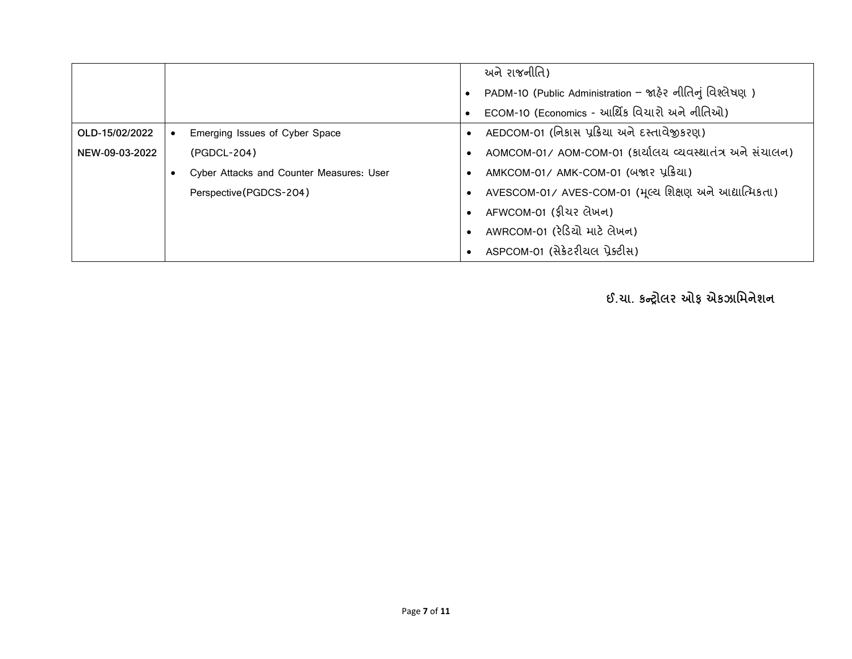|                |                                          | અને રાજનીતિ)                                             |
|----------------|------------------------------------------|----------------------------------------------------------|
|                |                                          | PADM-10 (Public Administration – જાહેર નીતિનું વિશ્લેષણ) |
|                |                                          | ECOM-10 (Economics - આર્થિક વિચારો અને નીતિઓ)            |
| OLD-15/02/2022 | Emerging Issues of Cyber Space           | AEDCOM-01 (નિકાસ પ્રક્રિયા અને દસ્તાવેજીકરણ)             |
| NEW-09-03-2022 | (PGDCL-204)                              | AOMCOM-01/AOM-COM-01 (કાર્યાલય વ્યવસ્થાતંત્ર અને સંચાલન) |
|                | Cyber Attacks and Counter Measures: User | AMKCOM-01/AMK-COM-01 (બજાર પ્રક્રિયા)                    |
|                | Perspective(PGDCS-204)                   | AVESCOM-01/ AVES-COM-01 (મૂલ્ય શિક્ષણ અને આદ્યાત્મિકતા)  |
|                |                                          | AFWCOM-01 (ફીચર લેખન)                                    |
|                |                                          | AWRCOM-01 (રેડિયો માટે લેખન)                             |
|                |                                          | ASPCOM-01 (સેક્રેટરીયલ પ્રેક્ટીસ)                        |

**ઈ.ચા. કન્ટ્રોલર ઓફ એકઝામિનેશન**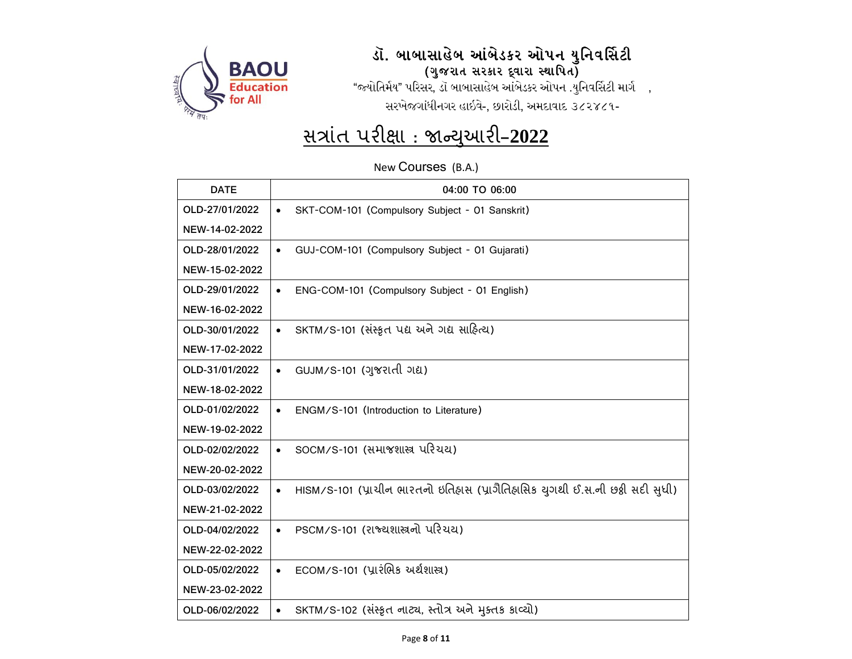

### .<br>ડૉ. બાબાસાહેબ આંબેડકર ઓપન યુનિવર્સિટી (ગુજરાત સરકાર દ્વારા સ્થાપિત)

"જ્યોતિર્મય" પરિસર, ડૉ બાબાસાહેબ આંબેડકર ઓપન .યુનિવર્સિટી માર્ગ , સરખેજગાંધીનગર હાઇવે-, છારોડી, અમદાવાદ ૩૮૨૪૮૧-

## <u>સત્રાંત પરીક્ષા : જાન્યુઆરી–2022</u>

New Courses (B.A.)

| <b>DATE</b>    | 04:00 TO 06:00                                                                             |
|----------------|--------------------------------------------------------------------------------------------|
| OLD-27/01/2022 | SKT-COM-101 (Compulsory Subject - 01 Sanskrit)                                             |
| NEW-14-02-2022 |                                                                                            |
| OLD-28/01/2022 | GUJ-COM-101 (Compulsory Subject - 01 Gujarati)                                             |
| NEW-15-02-2022 |                                                                                            |
| OLD-29/01/2022 | ENG-COM-101 (Compulsory Subject - 01 English)<br>$\bullet$                                 |
| NEW-16-02-2022 |                                                                                            |
| OLD-30/01/2022 | SKTM/S-101 (સંસ્કૃત પદ્ય અને ગદ્ય સાહિત્ય)<br>$\bullet$                                    |
| NEW-17-02-2022 |                                                                                            |
| OLD-31/01/2022 | GUJM/S-101 (ગુજરાતી ગદ્ય)<br>$\bullet$                                                     |
| NEW-18-02-2022 |                                                                                            |
| OLD-01/02/2022 | ENGM/S-101 (Introduction to Literature)                                                    |
| NEW-19-02-2022 |                                                                                            |
| OLD-02/02/2022 | SOCM/S-101 (સમાજશાસ્ત્ર પરિચય)                                                             |
| NEW-20-02-2022 |                                                                                            |
| OLD-03/02/2022 | HISM/S-101 (પ્રાચીન ભારતનો ઇતિહાસ (પ્રાગૈતિહાસિક યુગથી ઈ.સ.ની છઠ્ઠી સદી સુધી)<br>$\bullet$ |
| NEW-21-02-2022 |                                                                                            |
| OLD-04/02/2022 | PSCM/S-101 (राञ्चशास्त्रनो परियय)<br>$\bullet$                                             |
| NEW-22-02-2022 |                                                                                            |
| OLD-05/02/2022 | $ECOM/S-101$ (પ્રારંભિક અર્થશાસ્ત્ર)<br>$\bullet$                                          |
| NEW-23-02-2022 |                                                                                            |
| OLD-06/02/2022 | SKTM/S-102 (સંસ્કૃત નાટ્ય, સ્તોત્ર અને મુક્તક કાવ્યો)<br>$\bullet$                         |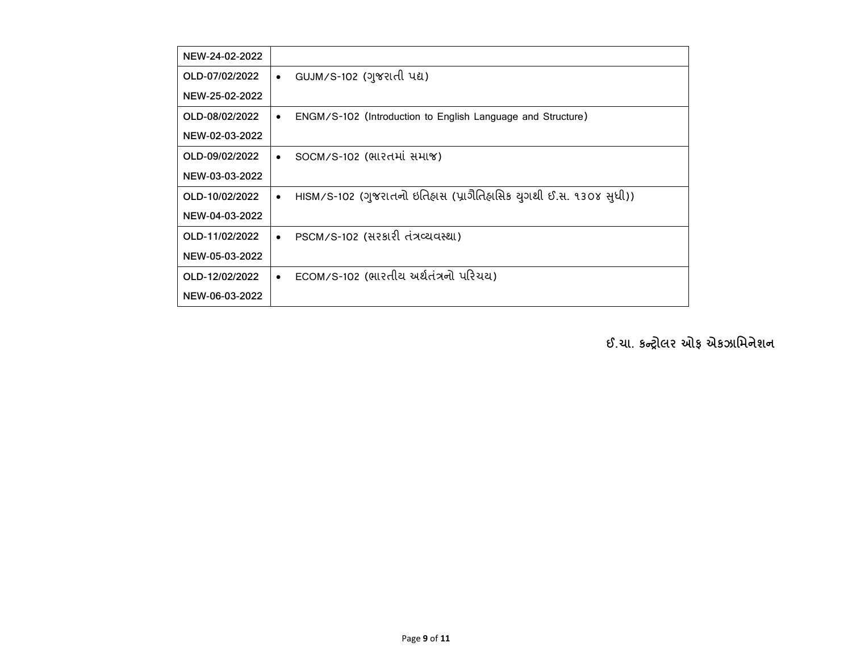| NEW-24-02-2022 |                                                                                |
|----------------|--------------------------------------------------------------------------------|
| OLD-07/02/2022 | GUJM/S-102 (ગુજરાતી પદ્ય)<br>$\bullet$                                         |
| NEW-25-02-2022 |                                                                                |
| OLD-08/02/2022 | ENGM/S-102 (Introduction to English Language and Structure)<br>$\bullet$       |
| NEW-02-03-2022 |                                                                                |
| OLD-09/02/2022 | SOCM/S-102 (ભારતમાં સમાજ)<br>$\bullet$                                         |
| NEW-03-03-2022 |                                                                                |
| OLD-10/02/2022 | HISM/S-102 (ગુજરાતનો ઇતિહાસ (પ્રાગૈતિહાસિક યુગથી ઈ.સ. ૧૩૦૪ સુધી))<br>$\bullet$ |
| NEW-04-03-2022 |                                                                                |
| OLD-11/02/2022 | PSCM/S-102 (સરકારી તંત્રવ્યવસ્થા)<br>$\bullet$                                 |
| NEW-05-03-2022 |                                                                                |
| OLD-12/02/2022 | ECOM/S-102 (ભારતીય અર્થતંત્રનો પરિચય)<br>$\bullet$                             |
| NEW-06-03-2022 |                                                                                |

**ઈ.ચા. કન્ટ્રોલર ઓફ એકઝામિનેશન**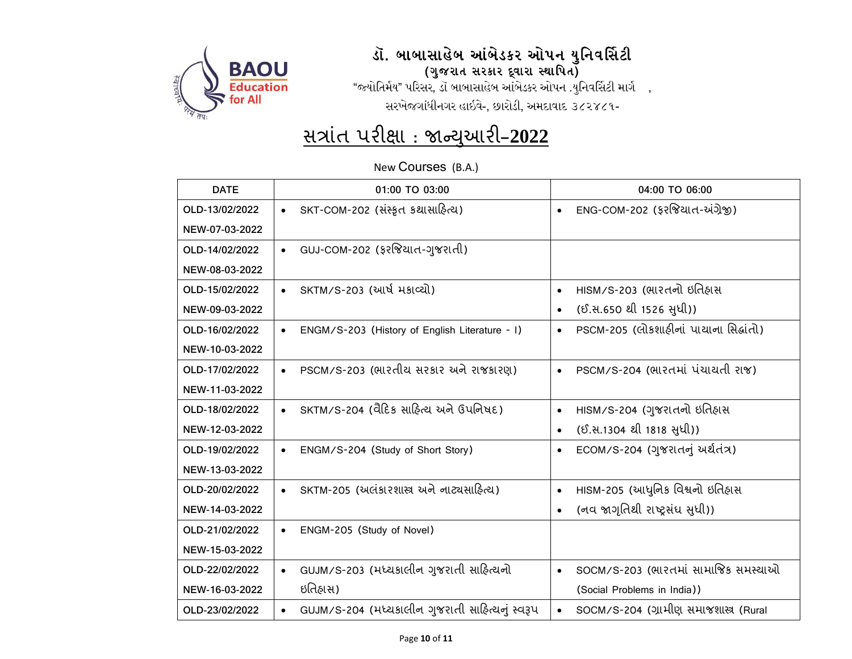

#### .<br>ડૉ. બાબાસાહેબ આંબેડકર ઓપન યુનિવર્સિટી (ગુજરાત સરકાર દ્વારા સ્થાપિત)

"જ્યોતિર્મય" પરિસર, ડૉ બાબાસાહેબ આંબેડકર ઓપન .યુનિવર્સિટી માર્ગ , સરખેજગાંધીનગર હાઇવે-, છારોડી, અમદાવાદ ૩૮૨૪૮૧-

## <u>મત્રાંત પરીક્ષા : જાન્યુઆરી-2022</u>

New Courses (B.A.)

| <b>DATE</b>    | 01:00 TO 03:00                                               | 04:00 TO 06:00                                      |
|----------------|--------------------------------------------------------------|-----------------------------------------------------|
| OLD-13/02/2022 | SKT-COM-202 (સંસ્કૃત કથાસાહિત્ય)<br>$\bullet$                | ENG-COM-202 (ફરજિયાત-અંગ્રેજી)<br>$\bullet$         |
| NEW-07-03-2022 |                                                              |                                                     |
| OLD-14/02/2022 | GUJ-COM-202 (ફરજિયાત-ગુજરાતી)<br>$\bullet$                   |                                                     |
| NEW-08-03-2022 |                                                              |                                                     |
| OLD-15/02/2022 | SKTM/S-203 (આર્ષ મકાવ્યો)<br>$\bullet$                       | HISM/S-203 (ભારતનો ઇતિહ્રાસ<br>$\bullet$            |
| NEW-09-03-2022 |                                                              | (ઈ.સ.650 થી 1526 સુધી))                             |
| OLD-16/02/2022 | ENGM/S-203 (History of English Literature - I)<br>$\bullet$  | PSCM-205 (લોકશાહીનાં પાયાના સિદ્ધાંતો)<br>$\bullet$ |
| NEW-10-03-2022 |                                                              |                                                     |
| OLD-17/02/2022 | PSCM/S-203 (ભારતીય સરકાર અને રાજકારણ)<br>$\bullet$           | PSCM/S-204 (ભારતમાં પંચાયતી રાજ)<br>$\bullet$       |
| NEW-11-03-2022 |                                                              |                                                     |
| OLD-18/02/2022 | SKTM/S-204 (વૈદિક સાહિત્ય અને ઉપનિષદ)                        | HISM/S-204 (ગુજરાતનો ઇતિહ્રાસ<br>$\bullet$          |
| NEW-12-03-2022 |                                                              | (ઈ.સ.1304 થી 1818 સુધી))<br>$\bullet$               |
| OLD-19/02/2022 | ENGM/S-204 (Study of Short Story)<br>$\bullet$               | ECOM/S-204 (ગુજરાતનું અર્થતંત્ર)                    |
| NEW-13-03-2022 |                                                              |                                                     |
| OLD-20/02/2022 | SKTM-205 (અલંકારશાસ્ત્ર અને નાટ્યસાહિત્ય)<br>$\bullet$       | HISM-205 (આધુનિક વિશ્વનો ઇતિહાસ<br>$\bullet$        |
| NEW-14-03-2022 |                                                              | (નવ જાગૃતિથી રાષ્ટ્રસંઘ સુધી))                      |
| OLD-21/02/2022 | ENGM-205 (Study of Novel)<br>$\bullet$                       |                                                     |
| NEW-15-03-2022 |                                                              |                                                     |
| OLD-22/02/2022 | GUJM/S-203 (મધ્યકાલીન ગુજરાતી સાહિત્યનો                      | SOCM/S-203 (ભારતમાં સામાજિક સમસ્યાઓ                 |
| NEW-16-03-2022 | ઇતિહ્રાસ)                                                    | (Social Problems in India))                         |
| OLD-23/02/2022 | GUJM/S-204 (મધ્યકાલીન ગુજરાતી સાહિત્યનું સ્વરૂપ<br>$\bullet$ | SOCM/S-204 (ગ્રામીણ સમાજશાસ્ત્ર (Rural<br>$\bullet$ |